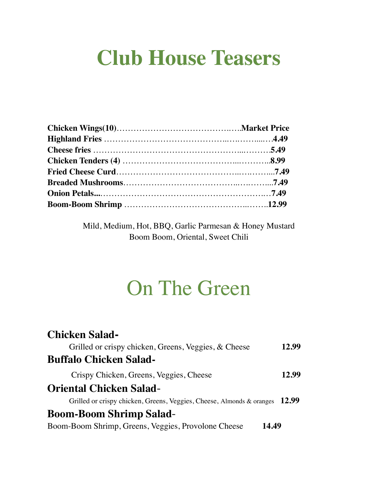# **Club House Teasers**

Mild, Medium, Hot, BBQ, Garlic Parmesan & Honey Mustard Boom Boom, Oriental, Sweet Chili

## On The Green

| <b>Chicken Salad-</b>                                                 |       |
|-----------------------------------------------------------------------|-------|
| Grilled or crispy chicken, Greens, Veggies, & Cheese                  | 12.99 |
| <b>Buffalo Chicken Salad-</b>                                         |       |
| Crispy Chicken, Greens, Veggies, Cheese                               | 12.99 |
| <b>Oriental Chicken Salad-</b>                                        |       |
| Grilled or crispy chicken, Greens, Veggies, Cheese, Almonds & oranges | 12.99 |
| <b>Boom-Boom Shrimp Salad-</b>                                        |       |
| Boom-Boom Shrimp, Greens, Veggies, Provolone Cheese<br>14.49          |       |